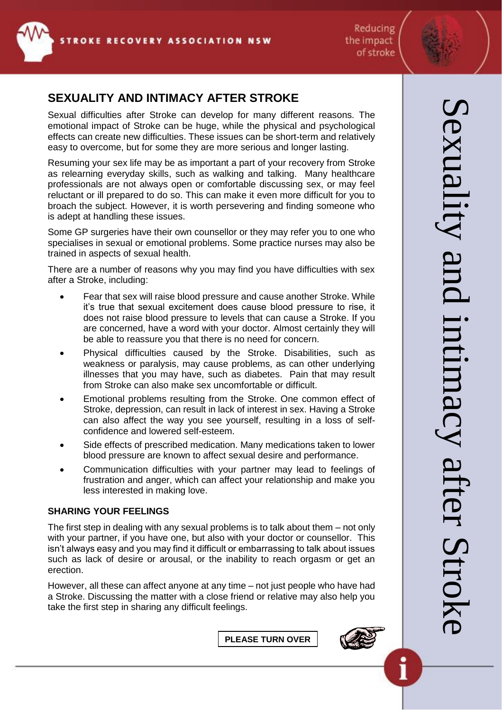

# **SEXUALITY AND INTIMACY AFTER STROKE**

Sexual difficulties after Stroke can develop for many different reasons. The emotional impact of Stroke can be huge, while the physical and psychological effects can create new difficulties. These issues can be short-term and relatively easy to overcome, but for some they are more serious and longer lasting.

Resuming your sex life may be as important a part of your recovery from Stroke as relearning everyday skills, such as walking and talking. Many healthcare professionals are not always open or comfortable discussing sex, or may feel reluctant or ill prepared to do so. This can make it even more difficult for you to broach the subject. However, it is worth persevering and finding someone who is adept at handling these issues.

Some GP surgeries have their own counsellor or they may refer you to one who specialises in sexual or emotional problems. Some practice nurses may also be trained in aspects of sexual health.

There are a number of reasons why you may find you have difficulties with sex after a Stroke, including:

- Fear that sex will raise blood pressure and cause another Stroke. While it's true that sexual excitement does cause blood pressure to rise, it does not raise blood pressure to levels that can cause a Stroke. If you are concerned, have a word with your doctor. Almost certainly they will be able to reassure you that there is no need for concern.
- Physical difficulties caused by the Stroke. Disabilities, such as weakness or paralysis, may cause problems, as can other underlying illnesses that you may have, such as diabetes. Pain that may result from Stroke can also make sex uncomfortable or difficult.
- Emotional problems resulting from the Stroke. One common effect of Stroke, depression, can result in lack of interest in sex. Having a Stroke can also affect the way you see yourself, resulting in a loss of selfconfidence and lowered self-esteem.
- Side effects of prescribed medication. Many medications taken to lower blood pressure are known to affect sexual desire and performance.
- Communication difficulties with your partner may lead to feelings of frustration and anger, which can affect your relationship and make you less interested in making love.

## **SHARING YOUR FEELINGS**

The first step in dealing with any sexual problems is to talk about them – not only with your partner, if you have one, but also with your doctor or counsellor. This isn't always easy and you may find it difficult or embarrassing to talk about issues such as lack of desire or arousal, or the inability to reach orgasm or get an erection.

However, all these can affect anyone at any time – not just people who have had a Stroke. Discussing the matter with a close friend or relative may also help you take the first step in sharing any difficult feelings.

**PLEASE TURN OVER**



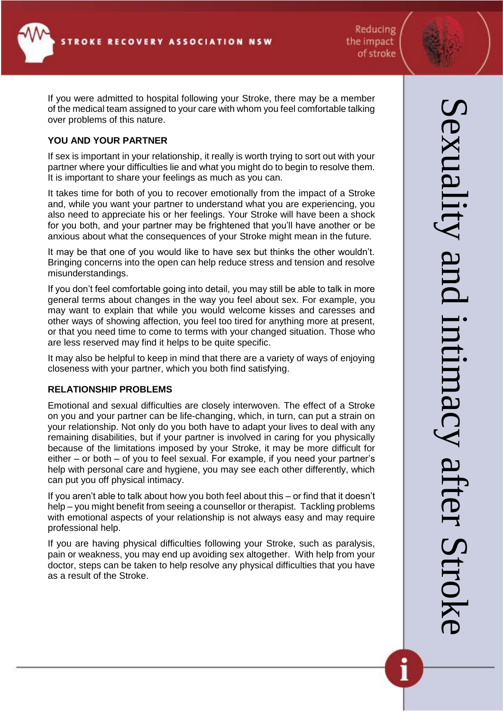If you were admitted to hospital following your Stroke, there may be a member of the medical team assigned to your care with whom you feel comfortable talking over problems of this nature.

### **YOU AND YOUR PARTNER**

If sex is important in your relationship, it really is worth trying to sort out with your partner where your difficulties lie and what you might do to begin to resolve them. It is important to share your feelings as much as you can.

It takes time for both of you to recover emotionally from the impact of a Stroke and, while you want your partner to understand what you are experiencing, you also need to appreciate his or her feelings. Your Stroke will have been a shock for you both, and your partner may be frightened that you'll have another or be anxious about what the consequences of your Stroke might mean in the future.

It may be that one of you would like to have sex but thinks the other wouldn't. Bringing concerns into the open can help reduce stress and tension and resolve misunderstandings.

If you don't feel comfortable going into detail, you may still be able to talk in more general terms about changes in the way you feel about sex. For example, you may want to explain that while you would welcome kisses and caresses and other ways of showing affection, you feel too tired for anything more at present, or that you need time to come to terms with your changed situation. Those who are less reserved may find it helps to be quite specific.

It may also be helpful to keep in mind that there are a variety of ways of enjoying closeness with your partner, which you both find satisfying.

#### **RELATIONSHIP PROBLEMS**

Emotional and sexual difficulties are closely interwoven. The effect of a Stroke on you and your partner can be life-changing, which, in turn, can put a strain on your relationship. Not only do you both have to adapt your lives to deal with any remaining disabilities, but if your partner is involved in caring for you physically because of the limitations imposed by your Stroke, it may be more difficult for either – or both – of you to feel sexual. For example, if you need your partner's help with personal care and hygiene, you may see each other differently, which can put you off physical intimacy.

If you aren't able to talk about how you both feel about this – or find that it doesn't help – you might benefit from seeing a counsellor or therapist. Tackling problems with emotional aspects of your relationship is not always easy and may require professional help.

If you are having physical difficulties following your Stroke, such as paralysis, pain or weakness, you may end up avoiding sex altogether. With help from your doctor, steps can be taken to help resolve any physical difficulties that you have as a result of the Stroke.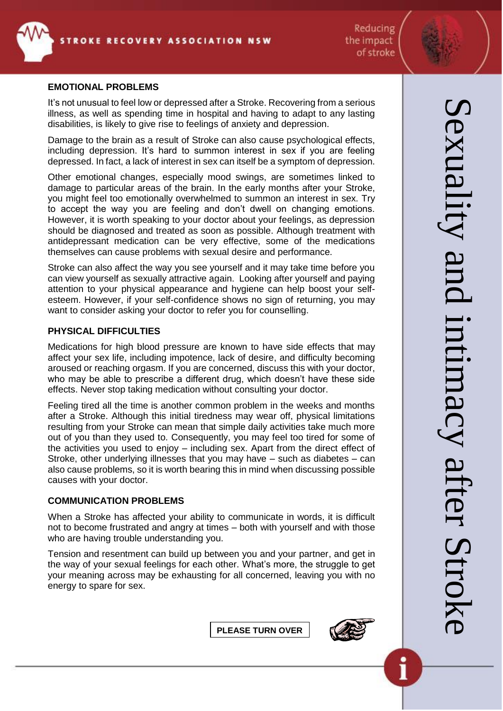

#### **EMOTIONAL PROBLEMS**

It's not unusual to feel low or depressed after a Stroke. Recovering from a serious illness, as well as spending time in hospital and having to adapt to any lasting disabilities, is likely to give rise to feelings of anxiety and depression.

Damage to the brain as a result of Stroke can also cause psychological effects, including depression. It's hard to summon interest in sex if you are feeling depressed. In fact, a lack of interest in sex can itself be a symptom of depression.

Other emotional changes, especially mood swings, are sometimes linked to damage to particular areas of the brain. In the early months after your Stroke, you might feel too emotionally overwhelmed to summon an interest in sex. Try to accept the way you are feeling and don't dwell on changing emotions. However, it is worth speaking to your doctor about your feelings, as depression should be diagnosed and treated as soon as possible. Although treatment with antidepressant medication can be very effective, some of the medications themselves can cause problems with sexual desire and performance.

Stroke can also affect the way you see yourself and it may take time before you can view yourself as sexually attractive again. Looking after yourself and paying attention to your physical appearance and hygiene can help boost your selfesteem. However, if your self-confidence shows no sign of returning, you may want to consider asking your doctor to refer you for counselling.

#### **PHYSICAL DIFFICULTIES**

Medications for high blood pressure are known to have side effects that may affect your sex life, including impotence, lack of desire, and difficulty becoming aroused or reaching orgasm. If you are concerned, discuss this with your doctor, who may be able to prescribe a different drug, which doesn't have these side effects. Never stop taking medication without consulting your doctor.

Feeling tired all the time is another common problem in the weeks and months after a Stroke. Although this initial tiredness may wear off, physical limitations resulting from your Stroke can mean that simple daily activities take much more out of you than they used to. Consequently, you may feel too tired for some of the activities you used to enjoy – including sex. Apart from the direct effect of Stroke, other underlying illnesses that you may have – such as diabetes – can also cause problems, so it is worth bearing this in mind when discussing possible causes with your doctor.

#### **COMMUNICATION PROBLEMS**

When a Stroke has affected your ability to communicate in words, it is difficult not to become frustrated and angry at times – both with yourself and with those who are having trouble understanding you.

Tension and resentment can build up between you and your partner, and get in the way of your sexual feelings for each other. What's more, the struggle to get your meaning across may be exhausting for all concerned, leaving you with no energy to spare for sex.



**PLEASE TURN OVER**